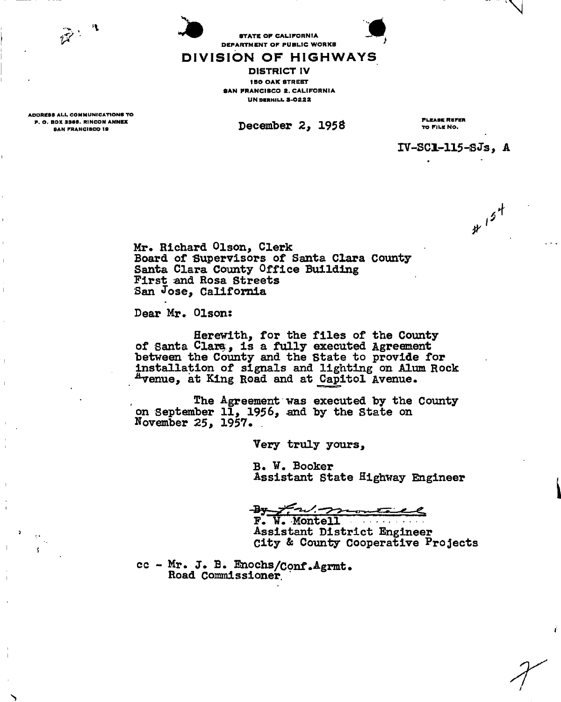

**STATE OF CALIFORNIA** DEPARTMENT OF PUBLIC WORKS

### DIVISION OF HIGHWAYS

DISTRICT IV **ISO OAK STREET** SAN FRANCISCO 2. CALIFORNIA **UNDER HILL 3-0222** 

ADDRESS ALL COMMUNICATIONS TO<br>P. O. BOX 3366, RINCON ANNEX P. O. BOX 3366. RINCON ANNEX<br>
BAN FRANCISCO 19 DECEMBER 2, 1958 TO FILE NO.

**rV-SCX-U5-SJS** 

 $r 15$ <sup>+</sup>

**Mr. Richard Olson, Clerk Board of Supervisors of Santa Clara County Santa Clara County Office Building First and Rosa Streets San Jose, California** 

**Dear Mr. Olsons** 

**Herewith, for the files of the County of Santa Clara , is a fully executed Agreement between the County and the State to provide for installation of signals and lighting on Alum Rock ^Srenue, at King Road and at Capitol Avenue.** 

**The Agreement was executed by the County on September 11, 1956, and by the State on November 25, 1957. .** 

**Very truly yours,** 

**B. W. Booker Assistant State Highway Engineer** 

- B≁ **F. W. Montell** 

**Assistant District Engineer City & County Cooperative Projects** 

**cc - Mr. J. B. Enochs/conf.Agrmt. Road Commissioner.**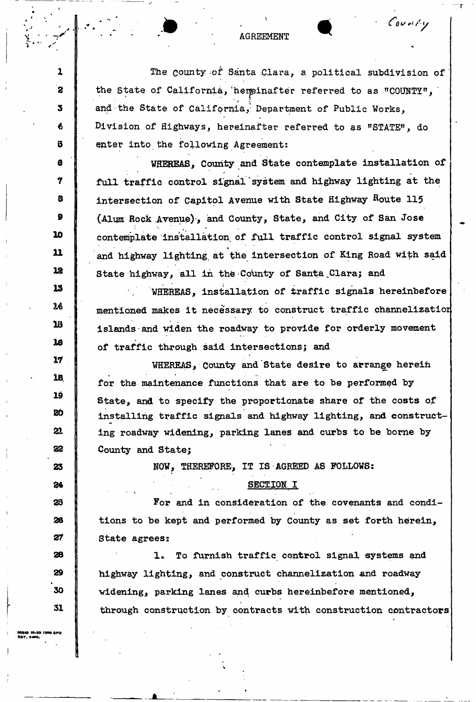## **AGREEMENT ^**

\*

County

The county of Santa Clara, a political subdivision of the State of California, hemeinafter referred to as "COUNTY". **and the State of California,<sup>1</sup> Department of Public Works, Division of Highways, hereinafter referred to as "STATE", do enter into the following Agreement:** 

**WHEREAS, County and State contemplate installation of full traffic control signal'system and highway lighting at the intersection of Capitol Avenue with State Highway Route 115 (Alum Rock Avenue)-, iand County, State, and City of San Jose contemplate installation of full traffic control signal system**  *\**  **and highway lighting, at the intersection of King Road with said State highway, all in the County of Santa \_Clara; and** 

**WHEREAS, installation of traffic signals hereinbefore mentioned makes it necessary to construct traffic channelizatioi islands and widen the roadway to provide for orderly movement of traffic through said intersections; and** 

WHEREAS, County and State desire to arrange herein **for the maintenance functions that are to be performed by State, and to specify the proportionate share of the costs of installing traffic signals and highway lighting, and constructing roadway widening, parking lanes and curbs to be borne by County and State;** 

**NOW, THEREFORE, IT IS AGREED AS FOLLOWS:** 

### SECTION<sub>L</sub>

**For and in consideration of the covenants and conditions to be kept and performed by County as set forth herein, State agrees:** 

**To furnish traffic control signal systems and highway lighting, and construct channelization and roadway widening, parking lanes and curbs hereinbefore mentioned, through construction by contracts with construction contractors** 

 $\mathbf{1}$ 

 $\mathbf{z}$ 

3

6

B

 $\bullet$ 

7

8

 $\mathbf{9}$ 

10

11

12

13

26

16

1s

17

18

19

**20** 

21

22

23

24

23

26

27

28

29

30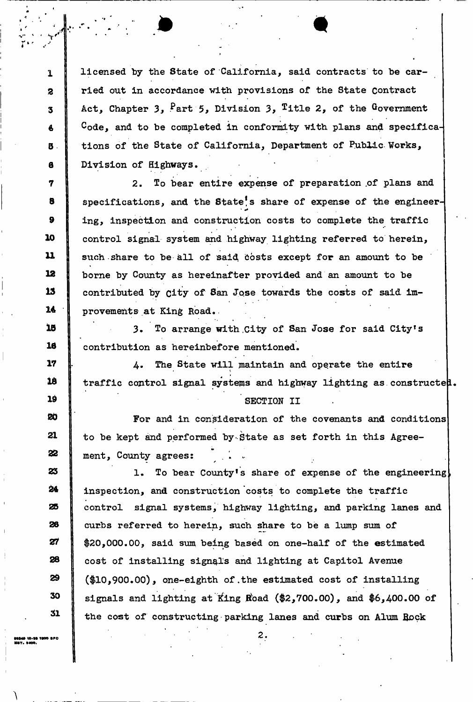**licensed by the State of California, said contracts to be carried out in accordance with provisions of the State contract**  Act, Chapter 3, Part 5, Division 3, Title 2, of the Government **Code, and to be completed in conformity with plans and specifications of the State of California, Department of Public Works, Division of Highways,** 

**2. To bear entire expense of preparation .of plans and**  specifications, and the State's share of expense of the engineer**ing, inspection and construction costs to complete the traffic control signal system and highway lighting referred to herein,**  such share to be all of said costs except for an amount to be **borne by County as hereinafter provided and an amount to be contributed by city of San Jose towards the costs of said improvements at King Road..** 

**3. To arrange with .City of San Jose for said City<sup>f</sup>s contribution as hereinbefore mentioned.** 

**The State will maintain and operate the entire**   $4.$ traffic control signal systems and highway lighting as constructed.

**SECTION II** 

**For and in consideration of the covenants and conditions to be kept and performed by-State as set forth in this Agree**i. ment, County agrees:

*/* 

**1. To bear County<sup>1</sup>s share of expense of the engineering inspection, and construction costs to complete the traffic control signal systems, highway lighting, and parking lanes and curbs referred to herein, such share to be a lump sum of \$20,000.00, said sum being based on one-half of the estimated cost of installing signals and lighting at Capitol Avenue (\$10,900.00), one-eighth of.the estimated cost of installing signals and lighting at King Road (\$2,700.00), and \$6,400.00 of the cost of constructing parking lanes and curbs on Alum Bock** 

 $\mathbf{1}$ 

 $\overline{\mathbf{z}}$ 

 $\mathbf{z}$ 

В.

a

7

8

 $\mathbf{9}$ 

10

 $\mathbf u$ 

12

13

14

15

16

17

18

19

20

21

22

23

24

25

26

27

28

29

30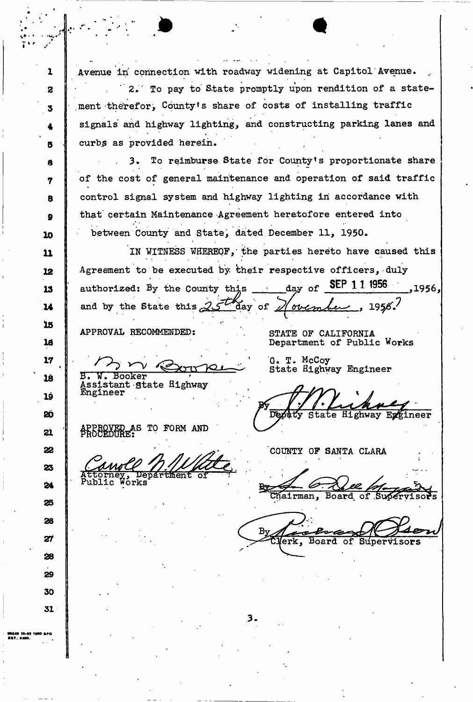**Avenue iri connection with roadway widening at Capitol Avenue. 2«' To pay to State promptly upon rendition of a state**ment therefor, County's share of costs of installing traffic **signals and highway lighting, and constructing parking lanes and**  curbs as provided herein. **3\* To reimburse State for County's proportionate share of the cost of general maintenance and operation of said traffic control signal system and highway lighting iri accordance with that' certain Maintenance Agreement heretofore entered into between County and State, dated December 11, 1950. IN WITNESS WHEREQF,' the parties hereto have caused this Agreement to be executed by- their respective officers, duly**  authorized: By the County this day of SEP 11 1956 .1956. and by the State this  $25\%$  day of  $\gamma$  oven lee, 1956. **15 APPROVAL RECOMMENDED: STATE OF CALIFORNIA 16 Department of Public Works G. T. McCoy State Highway Engineer B. W. Booker > Assistant-State Highway Engineer Deputy** State Highway Exgineer **APPROVED AS TO FORM AND<br>PROCEDURE: 22 COUNTY OF SANTA CLARA 23 Attorney, Department or Public Works 24**  Chairman, Board of Super visors

By Verk, Board of Supervisor

3.

I

<sup>V</sup>R

**1** 

**3** 

**3** 

**4** 

**0** 

*\** 

*7* 

**8** 

**9** 

**10** 

**11** 

12

**13** 

**14** 

**17** 

**18** 

**19** 

**20** 

**21** 

**25** 

26

**27** 

**28** 

**29** 

**30**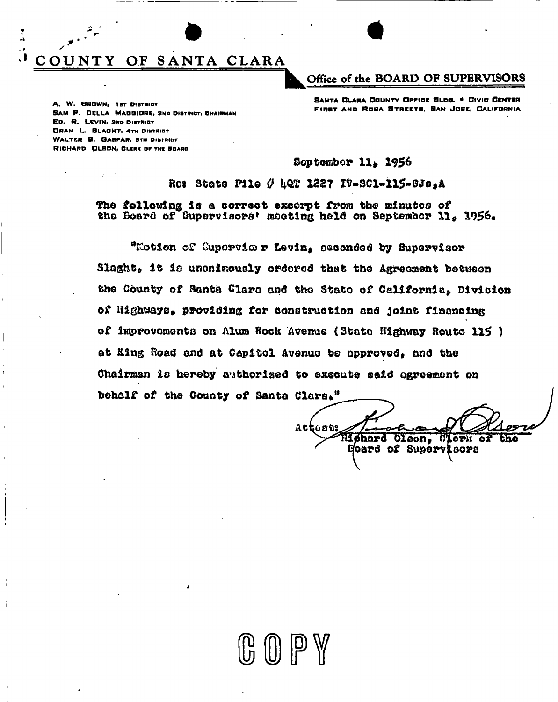# **» COUNT Y OF SANTA CLARA**

 *T* 

**A. W. B**ROWN, IBT DISTRICT **<sup>S</sup>**AM **P. D**ELLA MAODIORE, SNO DISTRUST, CHAIRMAN **E**D. **R. L**EVIN, 3RD DISTRICT •RAN **L. B**LAGHT, 4TH DISTRICT **W**ALTER **B. O**ABP**A**R, BTH DISTRIDT **R**ICHARD **O**LSON, CLCRK or THE BOARD

### **Office of the BOARD OF SUPERVISORS**

**<sup>S</sup>**ANTA **C**LARA **C**OUNTY **Prrioc B**LDQ**. • Civia C**ENTER FfRBT AND RDBA BTREETB, BAN dOBC. CALIFORNIA

**September 11\* 1956** 

**Bos State Pile {} UQT 1227 IV\*SCl-115-SJs,A The following le a correct excerpt from** *the* **minuted of**  tho Board of Supervisors' mooting held on September 11, 1956.

**"Hotlon of Guporvia>r Levin, seconded by Supervisor**  Slaght, it is unanimously ordered that the Agreement between the County of Santa Clara and the Stato of California. Division of Highways, providing for construction and joint financing **of improvement\*) on Alum Rook Avenue (Stato Highway Houto 115 ) at King Road and at Capitol Avenue be approved, and the Chairman ie hereby authorised to execute said agreement on boh&lf of the County of Santa** 

Attost: phard Olson, Clerk of **Woard of Supervisors** 

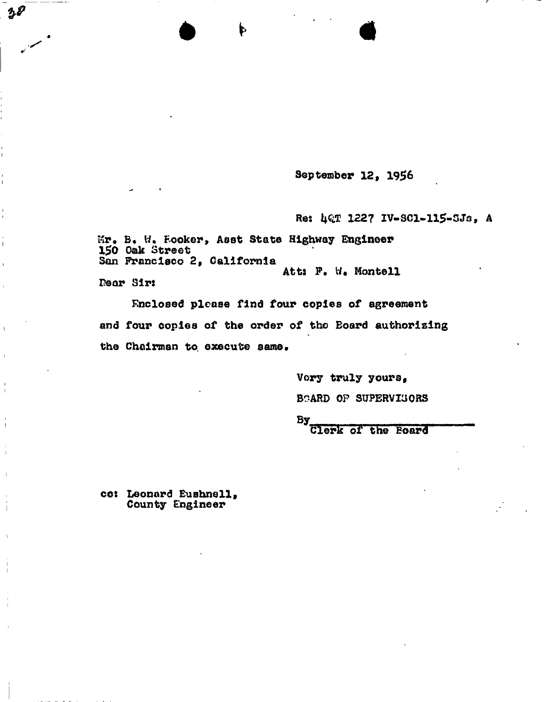**September 12, 1956** 

**Re: 40T 1227 IV-SC1-115-SJs, A** 

**I4r« B« W. Fooker, Asst State Highway Engineer ISO Oak Street Son Francisco 2, California Atts P. W. Hontell**  Dear Sir:

**Enclosed please find four copies of agreement and four copies of the order of the Eoard authorising the Chairman to execute same\*** 

*• > 4* 

**Very truly yours, BOARD OP SUPERVISORS** 

**BY** 

**Clerk of the Board** 

**cos Leonard Eushnell, County Engineer**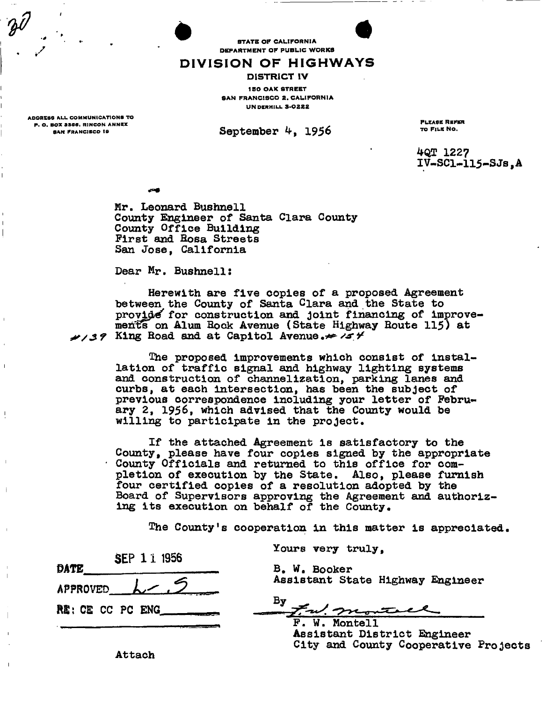**STATE OF CALIFORNIA** DEPARTMENT OF PUBLIC WORKS

### DIVISION OF HIGHWAYS

#### DISTRICT IV

**180 OAK STREET** SAN FRANCISCO 2. CALIFORNIA UNDERHILL 3-022 2

ADDRESS ALL COMMUNICATIONS TO P. O. BOX 3886, R1NCON ANNEX

September 4, 1956

PLEASE REFER TO FILE NO.

**4QT 122? IV-SCl-115-SJs,A** 

**Mr. Leonard Bushnell County Engineer of Santa Clara County County Office Building First and Rosa Streets San Jose, California** 

**Dear Mr. Bushnell:** 

**Herewith are five copies of a proposed Agreement between the County of Santa Clara and the State to**  prov**ide** for construction and joint financing of improve**ments on Alum Bock Avenue (State Highway Route 115) &t AVIS Ring Road and at Capitol Avenue.** Fit

> **The proposed improvements which consist of installation of traffic signal and highway lighting systems and construction of channelization, parking lanes and curbs, at each intersection, has been the subject of previous correspondence including your letter of February 2, 1956, which advised that the County would be willing to participate in the project.**

**If the attached Agreement is satisfactory to the County, please have four copies signed by the appropriate \* County Officials and returned to this office for completion of execution by the State. Also, please furnish four certified copies of a resolution adopted by the Board of Supervisors approving the Agreement and authorizing its execution on behalf of the County,** 

**The County's cooperation in this matter is appreciated** 

**APPROVED L ^**  RE: CE **CC** PC ENG **SEP 1 1 1956 DATE** 

**Yours very truly,** 

**B# W. Booker Assistant State Highway Engineer** 

 $By$ F.w. mon

**F. W. Montell Assistant District Engineer City and County Cooperative Projects** 

**Attach**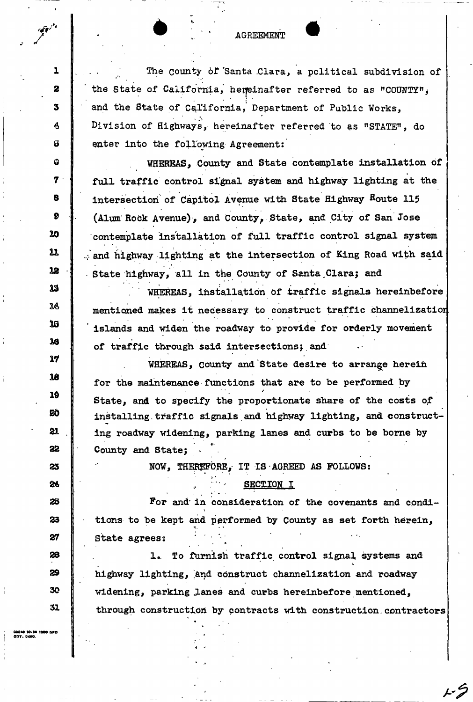**. . The county of 'Santa .Clara, a political subdivision of**  the State of California, hemeinafter referred to as "COUNTY", and the State of California, Department of Public Works, **Division of Highways, hereinafter referred to as "STATE", do enter into the following Agreement:** 

**WHEREAS, County and State contemplate installation of full traffic control signal system and highway lighting at the intersection of Capitol Avenue with State Highway Route 115 (Aim Rock Avenue), and County, State, and City of San Jose contemplate installation of full traffic control signal system and highway lighting at the intersection of King Road with said State highway, all in the County of Santa .Clara; and** 

**WHEREAS, installation Of traffic signals hereinbefore mentioned makes it necessary to construct traffic channelizatior islands and widen the roadway to provide for orderly movement**  of traffic through said intersections; and

WHEREAS, County and State desire to arrange herein **for the maintenance functions that are to be performed by State, and to specify the proportionate share of the costs of installing.traffic signals and highway lighting, and constructing roadway widening, parking lanes and curbs to be borne by**  *C•*  **County and State;** 

**NOW, THEREFORE, IT IS AGREED AS FOLLOWS:** 

SECTION<sub>1</sub>

I

**For and' in consideration of the covenants and condi**tions to be kept and performed by County as set forth herein, **tions to be kept and performed by County as set forth hesrein, j H. • »**  State agrees:

**1.. To furnish traffic control signal systems and**  *i*  **highway lighting, and construct channelization and roadway**  widening, parking lanes and curbs hereinbefore mentioned, through construction by contracts with construction, contractors

COBAD 10.5<br>COT, D*C*OO

 $\epsilon$ 

1

 $\bf{z}$ 

3

A

B

0

7

8

9

20

11

 $12<sub>2</sub>$ 

13

16

J.B

16

27

18

19

ËÔ.

21

22

23

26

23

23

27

28

29

30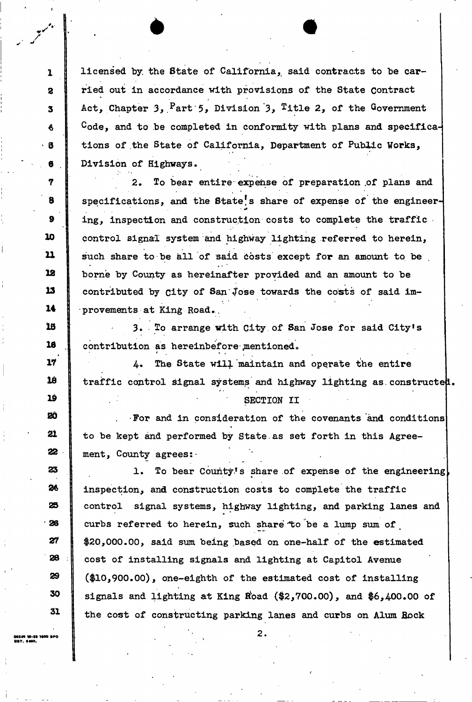licensed by the State of California, said contracts to be car**ried out in accordance with provisions of the State contract**  Act, Chapter 3, <sup>P</sup>art 5, Division 3, Title 2, of the Government **<sup>c</sup>ode, and to be completed in conformity with plans and specifications of the State of California, Department of Public Works, Division of Highways.** 

 $\bullet$   $\bullet$ 

**2. To bear entire expense of preparation .of plans and specifications, and the State?s share of expense of the engineer-** • **ing, inspection and construction costs to complete the traffic control signal system and highway lighting referred to herein, such share to be all of said Costs except for an amount to be borne by County as hereinafter provided and an amount to be contributed by city of San'Jose towards the costs of said improvements at King Road..** 

**3. To arrange with City.of San Jose for said City<sup>f</sup>s contribution as hereinbefore mentioned»** 

\* . \* >

**4. The State will maintain and operate the entire traffic control signal systems and highway lighting as.constructel SECTION II** 

**•For and in consideration of the covenants and conditions to be kept and performed by State.as set forth in this Agreement, County agrees:-**

1. To bear County's share of expense of the engineering **inspection, and construction costs to complete the traffic control signal systems, highway lighting, and parking lanes and**  curbs referred to herein, such share to be a lump sum of .<br>\$20,000.00, said sum being based on one-half of the estimated **\$20,000.00, said sum being based on one-half of the estimated cost of installing signals and lighting at Capitol Avenue (\$10,900.00), one-eighth of the estimated cost of installing**  signals and lighting at King Road (\$2,700.00), and \$6,400.00 of **the cost of constructing parking lanes and curbs on Alum Bock** 

**» SFO** 

(

**A** 

**1** 

**2** 

**3** 

**4** 

**5** 

**6 .** 

**7** 

**8** 

**9** 

**10** 

**11** 

**12** 

**13** 

**14** 

IB

**18** 

**17** 

**18** 

**19** 

**2d** 

**21** 

**22** 

**23** 

**24** 

**25** 

**26** 

**27** 

**2d** 

**29** 

**30** 

**31** 

**2.**